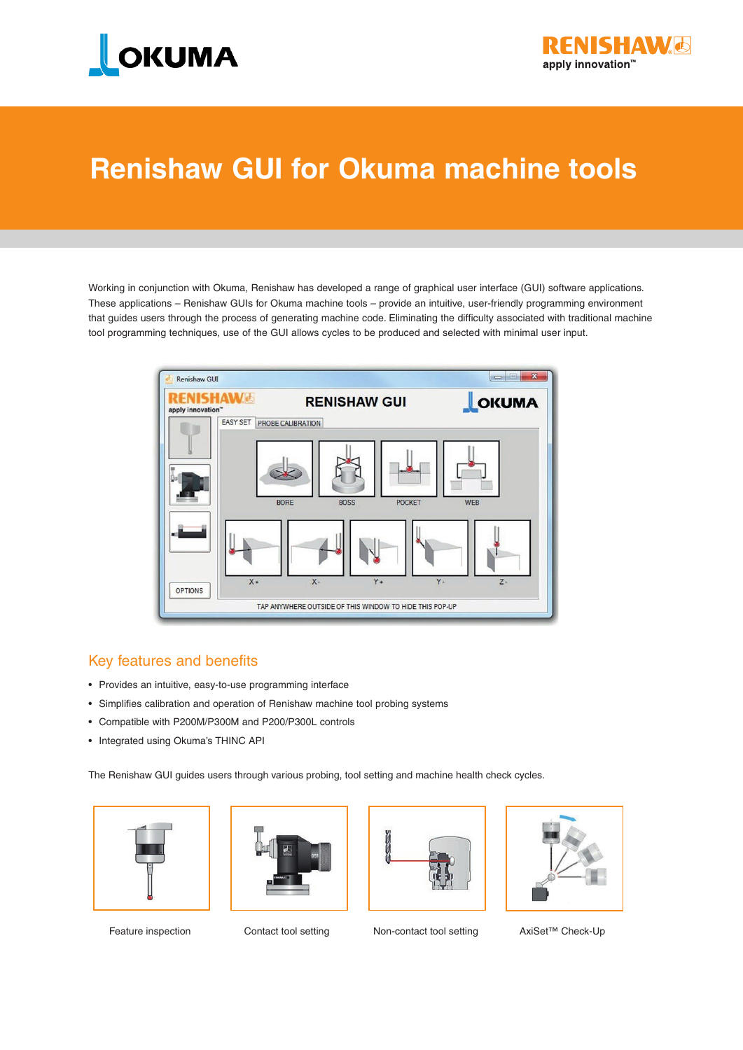



## **Renishaw GUI for Okuma machine tools**

Working in conjunction with Okuma, Renishaw has developed a range of graphical user interface (GUI) software applications. These applications – Renishaw GUIs for Okuma machine tools – provide an intuitive, user-friendly programming environment that guides users through the process of generating machine code. Eliminating the difficulty associated with traditional machine tool programming techniques, use of the GUI allows cycles to be produced and selected with minimal user input.



#### Key features and benefits

- • Provides an intuitive, easy-to-use programming interface
- • Simplifies calibration and operation of Renishaw machine tool probing systems
- • Compatible with P200M/P300M and P200/P300L controls
- Integrated using Okuma's THINC API

The Renishaw GUI guides users through various probing, tool setting and machine health check cycles.









Feature inspection Contact tool setting Non-contact tool setting AxiSet™ Check-Up